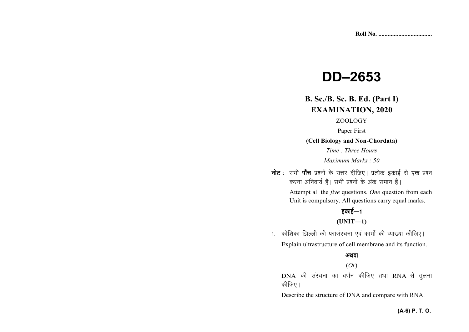# **DD–2653**

# **B. Sc./B. Sc. B. Ed. (Part I)EXAMINATION, 2020**

## ZOOLOGY

Paper First

**(Cell Biology and Non-Chordata)** 

*Time : Three Hours Maximum Marks : 50* 

**नोट** : सभी **पाँच** प्रश्नों के उत्तर दीजिए। प्रत्येक इकाई से **एक** प्रश्न *djuk vfuok;Z gSA lHkh iz'uksa d¢ vad leku gSaA* 

> Attempt all the *five* questions. *One* question from each Unit is compulsory. All questions carry equal marks.

## *bdkbZ*&*<sup>1</sup>*

## **(UNIT—1)**

1. कोशिका झिल्ली की परासंरचना एवं कार्यों की व्याख्या कीजिए। Explain ultrastructure of cell membrane and its function.

## अथवा

## (*Or*)

DNA *dh lajpuk dk o.kZu dhft, rFkk* RNA *ls rqyuk कीजिए* ।

Describe the structure of DNA and compare with RNA.

## **(A-6) P. T. O.**